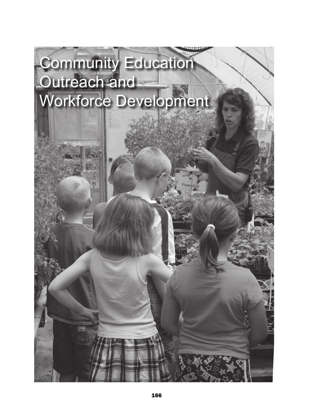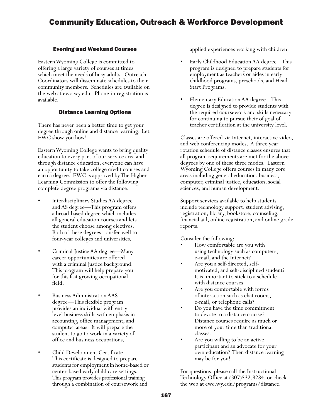# Community Education, Outreach & Workforce Development

### Evening and Weekend Courses

Eastern Wyoming College is committed to offering a large variety of courses at times which meet the needs of busy adults. Outreach Coordinators will disseminate schedules to their community members. Schedules are available on the web at ewc.wy.edu. Phone-in registration is available.

### Distance Learning Options

There has never been a better time to get your degree through online and distance learning. Let EWC show you how!

Eastern Wyoming College wants to bring quality education to every part of our service area and through distance education, everyone can have an opportunity to take college credit courses and earn a degree. EWC is approved by The Higher Learning Commission to offer the following complete degree programs via distance.

- Interdisciplinary Studies AA degree and AS degree—This program offers a broad-based degree which includes all general education courses and lets the student choose among electives. Both of these degrees transfer well to four-year colleges and universities.
- Criminal Justice AA degree—Many career opportunities are offered with a criminal justice background. This program will help prepare you for this fast growing occupational field.
- Business Administration AAS degree—This flexible program provides an individual with entry level business skills with emphasis in accounting, office management, and computer areas. It will prepare the student to go to work in a variety of office and business occupations.
- Child Development Certificate–– This certificate is designed to prepare students for employment in home-based or center-based early child care settings. This program provides professional training through a combination of coursework and

applied experiences working with children.

- Early Childhood Education AA degree This program is designed to prepare students for employment as teachers or aides in early childhood programs, preschools, and Head Start Programs.
- Elementary Education AA degree This degree is designed to provide students with the required coursework and skills necessary for continuing to pursue their of goal of teacher certification at the university level.

Classes are offered via Internet, interactive video, and web conferencing modes. A three year rotation schedule of distance classes ensures that all program requirements are met for the above degrees by one of these three modes. Eastern Wyoming College offers courses in many core areas including general education, business, computer, criminal justice, education, social sciences, and human development.

Support services available to help students include technology support, student advising, registration, library, bookstore, counseling, financial aid, online registration, and online grade reports.

Consider the following:

- How comfortable are you with using technology such as computers, e-mail, and the Internet?
- Are you a self-directed, selfmotivated, and self-disciplined student? It is important to stick to a schedule with distance courses.
- Are you comfortable with forms of interaction such as chat rooms, e-mail, or telephone calls?
- Do you have the time commitment to devote to a distance course? Distance courses require as much or more of your time than traditional classes.
- Are you willing to be an active participant and an advocate for your own education? Then distance learning may be for you!

For questions, please call the Instructional Technology Office at (307)532.8284, or check the web at ewc.wy.edu/programs/distance.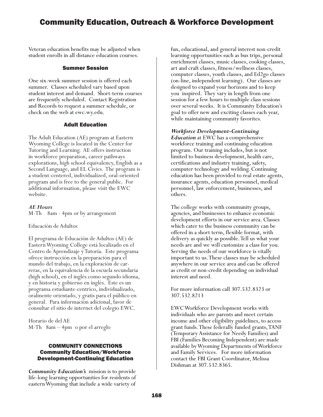## Community Education, Outreach & Workforce Development

Veteran education benefits may be adjusted when student enrolls in all distance education courses.

#### Summer Session

One six-week summer session is offered each summer. Classes scheduled vary based upon student interest and demand. Short-term courses are frequently scheduled. Contact Registration and Records to request a summer schedule, or check on the web at ewc.wy.edu.

#### Adult Education

The Adult Education (AE) program at Eastern Wyoming College is located in the Center for Tutoring and Learning. AE offers instruction in workforce preparation, career pathways explorations, high school equivalency, English as a Second Language, and EL Civics. The program is a student-centered, individualized, oral-oriented program and is free to the general public. For additional information, please visit the EWC website.

*AE Hours* M-Th 8am - 4pm or by arrangement

Educación de Adultos

El programa de Educación de Adultos (AE) de Eastern Wyoming College está localizado en el Centro de Aprendizaje y Tutoría. Este programa ofrece instrucción en la preparación para el mundo del trabajo, en la exploración de carreras, en la equivalencia de la escuela secundaria (high school), en el inglés como segundo idioma, y en historia y gobierno en inglés. Este es un programa estudiante-centrico, individualizado, oralmente orientado, y gratis para el público en general. Para información adicional, favor de consultar el sitio de internet del colegio EWC.

Horario de del AE M-Th 8am – 4pm o por el arreglo

#### COMMUNITY CONNECTIONS Community Education/Workforce Development-Continuing Education

*Community Education's* mission is to provide life-long learning opportunities for residents of eastern Wyoming that include a wide variety of

fun, educational, and general interest non-credit learning opportunities such as bus trips, personal enrichment classes, music classes, cooking classes, art and craft classes, fitness/wellness classes, computer classes, youth classes, and Ed2go classes (on-line, independent learning). Our classes are designed to expand your horizons and to keep you inspired. They vary in length from one session for a few hours to multiple class sessions over several weeks. It is Community Education's goal to offer new and exciting classes each year, while maintaining community favorites.

#### *Workforce Development-Continuing*

*Education* at EWC has a comprehensive workforce training and continuing education program. Our training includes, but is not limited to business development, health care, certifications and industry training, safety, computer technology and welding. Continuing education has been provided to real estate agents, insurance agents, education personnel, medical personnel, law enforcement, businesses, and others.

The college works with community groups, agencies, and businesses to enhance economic development efforts in our service area. Classes which cater to the business community can be offered in a short term, flexible format, with delivery as quickly as possible. Tell us what your needs are and we will customize a class for you. Serving the needs of our workforce is vitally important to us. These classes may be scheduled anywhere in our service area and can be offered as credit or non-credit depending on individual interest and need.

For more information call 307.532.8323 or 307.532.8213

EWC Workforce Development works with individuals who are parents and meet certain income and other eligibility guidelines, to access grant funds. These federally funded grants, TANF (Temporary Assistance for Needy Families) and FBI (Families Becoming Independent) are made available by Wyoming Departments of Workforce and Family Services. For more information contact the FBI Grant Coordinator, Melissa Dishman at 307.532.8365.